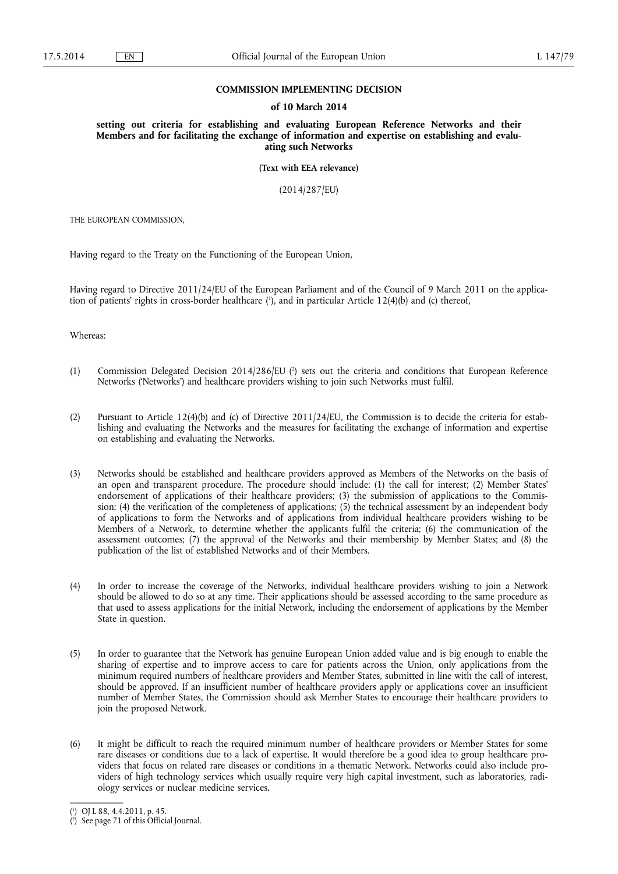### **COMMISSION IMPLEMENTING DECISION**

#### **of 10 March 2014**

**setting out criteria for establishing and evaluating European Reference Networks and their Members and for facilitating the exchange of information and expertise on establishing and evaluating such Networks** 

**(Text with EEA relevance)** 

(2014/287/EU)

THE EUROPEAN COMMISSION,

Having regard to the Treaty on the Functioning of the European Union,

Having regard to Directive 2011/24/EU of the European Parliament and of the Council of 9 March 2011 on the application of patients' rights in cross-border healthcare ( 1 ), and in particular Article 12(4)(b) and (c) thereof,

Whereas:

- (1) Commission Delegated Decision 2014/286/EU ( 2 ) sets out the criteria and conditions that European Reference Networks ('Networks') and healthcare providers wishing to join such Networks must fulfil.
- (2) Pursuant to Article 12(4)(b) and (c) of Directive 2011/24/EU, the Commission is to decide the criteria for establishing and evaluating the Networks and the measures for facilitating the exchange of information and expertise on establishing and evaluating the Networks.
- (3) Networks should be established and healthcare providers approved as Members of the Networks on the basis of an open and transparent procedure. The procedure should include: (1) the call for interest; (2) Member States' endorsement of applications of their healthcare providers; (3) the submission of applications to the Commission; (4) the verification of the completeness of applications; (5) the technical assessment by an independent body of applications to form the Networks and of applications from individual healthcare providers wishing to be Members of a Network, to determine whether the applicants fulfil the criteria; (6) the communication of the assessment outcomes; (7) the approval of the Networks and their membership by Member States; and (8) the publication of the list of established Networks and of their Members.
- (4) In order to increase the coverage of the Networks, individual healthcare providers wishing to join a Network should be allowed to do so at any time. Their applications should be assessed according to the same procedure as that used to assess applications for the initial Network, including the endorsement of applications by the Member State in question.
- (5) In order to guarantee that the Network has genuine European Union added value and is big enough to enable the sharing of expertise and to improve access to care for patients across the Union, only applications from the minimum required numbers of healthcare providers and Member States, submitted in line with the call of interest, should be approved. If an insufficient number of healthcare providers apply or applications cover an insufficient number of Member States, the Commission should ask Member States to encourage their healthcare providers to join the proposed Network.
- (6) It might be difficult to reach the required minimum number of healthcare providers or Member States for some rare diseases or conditions due to a lack of expertise. It would therefore be a good idea to group healthcare providers that focus on related rare diseases or conditions in a thematic Network. Networks could also include providers of high technology services which usually require very high capital investment, such as laboratories, radiology services or nuclear medicine services.

<sup>(</sup> 1 ) OJ L 88, 4.4.2011, p. 45.

<sup>(</sup> 2 ) See page 71 of this Official Journal.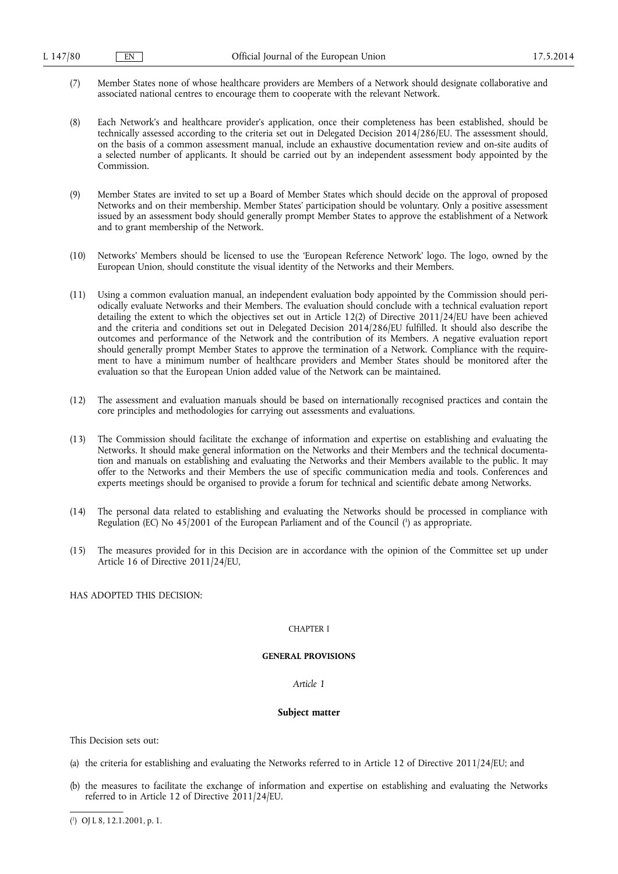- (7) Member States none of whose healthcare providers are Members of a Network should designate collaborative and associated national centres to encourage them to cooperate with the relevant Network.
- (8) Each Network's and healthcare provider's application, once their completeness has been established, should be technically assessed according to the criteria set out in Delegated Decision 2014/286/EU. The assessment should, on the basis of a common assessment manual, include an exhaustive documentation review and on-site audits of a selected number of applicants. It should be carried out by an independent assessment body appointed by the Commission.
- (9) Member States are invited to set up a Board of Member States which should decide on the approval of proposed Networks and on their membership. Member States' participation should be voluntary. Only a positive assessment issued by an assessment body should generally prompt Member States to approve the establishment of a Network and to grant membership of the Network.
- (10) Networks' Members should be licensed to use the 'European Reference Network' logo. The logo, owned by the European Union, should constitute the visual identity of the Networks and their Members.
- (11) Using a common evaluation manual, an independent evaluation body appointed by the Commission should periodically evaluate Networks and their Members. The evaluation should conclude with a technical evaluation report detailing the extent to which the objectives set out in Article 12(2) of Directive 2011/24/EU have been achieved and the criteria and conditions set out in Delegated Decision 2014/286/EU fulfilled. It should also describe the outcomes and performance of the Network and the contribution of its Members. A negative evaluation report should generally prompt Member States to approve the termination of a Network. Compliance with the requirement to have a minimum number of healthcare providers and Member States should be monitored after the evaluation so that the European Union added value of the Network can be maintained.
- (12) The assessment and evaluation manuals should be based on internationally recognised practices and contain the core principles and methodologies for carrying out assessments and evaluations.
- (13) The Commission should facilitate the exchange of information and expertise on establishing and evaluating the Networks. It should make general information on the Networks and their Members and the technical documentation and manuals on establishing and evaluating the Networks and their Members available to the public. It may offer to the Networks and their Members the use of specific communication media and tools. Conferences and experts meetings should be organised to provide a forum for technical and scientific debate among Networks.
- (14) The personal data related to establishing and evaluating the Networks should be processed in compliance with Regulation (EC) No 45/2001 of the European Parliament and of the Council ( 1 ) as appropriate.
- (15) The measures provided for in this Decision are in accordance with the opinion of the Committee set up under Article 16 of Directive 2011/24/EU,

HAS ADOPTED THIS DECISION:

### CHAPTER I

# **GENERAL PROVISIONS**

### *Article 1*

### **Subject matter**

This Decision sets out:

- (a) the criteria for establishing and evaluating the Networks referred to in Article 12 of Directive 2011/24/EU; and
- (b) the measures to facilitate the exchange of information and expertise on establishing and evaluating the Networks referred to in Article 12 of Directive 2011/24/EU.

<sup>(</sup> 1 ) OJ L 8, 12.1.2001, p. 1.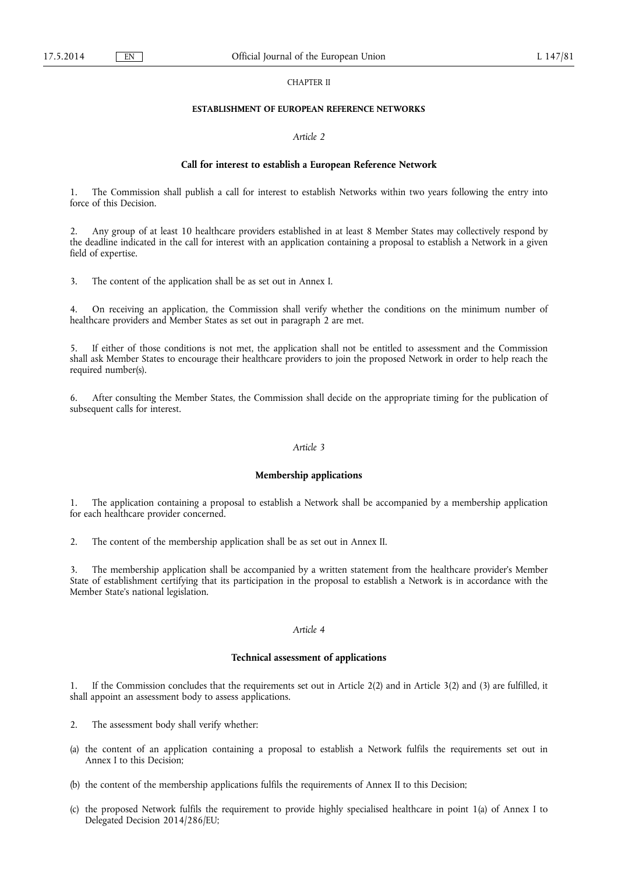### CHAPTER II

## **ESTABLISHMENT OF EUROPEAN REFERENCE NETWORKS**

#### *Article 2*

### **Call for interest to establish a European Reference Network**

1. The Commission shall publish a call for interest to establish Networks within two years following the entry into force of this Decision.

2. Any group of at least 10 healthcare providers established in at least 8 Member States may collectively respond by the deadline indicated in the call for interest with an application containing a proposal to establish a Network in a given field of expertise.

3. The content of the application shall be as set out in Annex I.

4. On receiving an application, the Commission shall verify whether the conditions on the minimum number of healthcare providers and Member States as set out in paragraph 2 are met.

If either of those conditions is not met, the application shall not be entitled to assessment and the Commission shall ask Member States to encourage their healthcare providers to join the proposed Network in order to help reach the required number(s).

6. After consulting the Member States, the Commission shall decide on the appropriate timing for the publication of subsequent calls for interest.

### *Article 3*

#### **Membership applications**

1. The application containing a proposal to establish a Network shall be accompanied by a membership application for each healthcare provider concerned.

2. The content of the membership application shall be as set out in Annex II.

3. The membership application shall be accompanied by a written statement from the healthcare provider's Member State of establishment certifying that its participation in the proposal to establish a Network is in accordance with the Member State's national legislation.

## *Article 4*

#### **Technical assessment of applications**

If the Commission concludes that the requirements set out in Article  $2(2)$  and in Article  $3(2)$  and  $(3)$  are fulfilled, it shall appoint an assessment body to assess applications.

- 2. The assessment body shall verify whether:
- (a) the content of an application containing a proposal to establish a Network fulfils the requirements set out in Annex I to this Decision;
- (b) the content of the membership applications fulfils the requirements of Annex II to this Decision;
- (c) the proposed Network fulfils the requirement to provide highly specialised healthcare in point 1(a) of Annex I to Delegated Decision 2014/286/EU;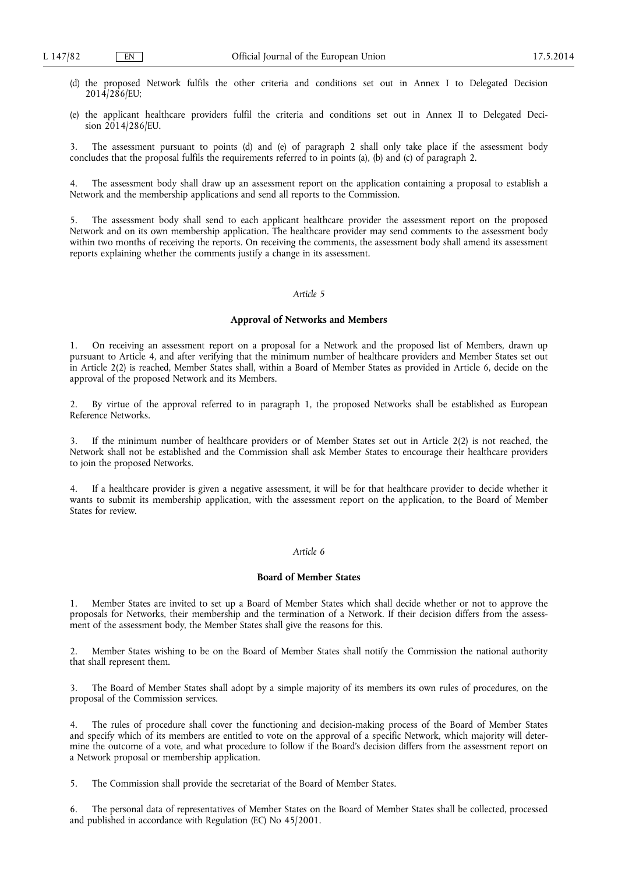- (d) the proposed Network fulfils the other criteria and conditions set out in Annex I to Delegated Decision 2014/286/EU;
- (e) the applicant healthcare providers fulfil the criteria and conditions set out in Annex II to Delegated Decision 2014/286/EU.

3. The assessment pursuant to points (d) and (e) of paragraph 2 shall only take place if the assessment body concludes that the proposal fulfils the requirements referred to in points (a), (b) and (c) of paragraph 2.

4. The assessment body shall draw up an assessment report on the application containing a proposal to establish a Network and the membership applications and send all reports to the Commission.

The assessment body shall send to each applicant healthcare provider the assessment report on the proposed Network and on its own membership application. The healthcare provider may send comments to the assessment body within two months of receiving the reports. On receiving the comments, the assessment body shall amend its assessment reports explaining whether the comments justify a change in its assessment.

### *Article 5*

#### **Approval of Networks and Members**

1. On receiving an assessment report on a proposal for a Network and the proposed list of Members, drawn up pursuant to Article 4, and after verifying that the minimum number of healthcare providers and Member States set out in Article 2(2) is reached, Member States shall, within a Board of Member States as provided in Article 6, decide on the approval of the proposed Network and its Members.

2. By virtue of the approval referred to in paragraph 1, the proposed Networks shall be established as European Reference Networks.

If the minimum number of healthcare providers or of Member States set out in Article  $2(2)$  is not reached, the Network shall not be established and the Commission shall ask Member States to encourage their healthcare providers to join the proposed Networks.

4. If a healthcare provider is given a negative assessment, it will be for that healthcare provider to decide whether it wants to submit its membership application, with the assessment report on the application, to the Board of Member States for review.

## *Article 6*

### **Board of Member States**

1. Member States are invited to set up a Board of Member States which shall decide whether or not to approve the proposals for Networks, their membership and the termination of a Network. If their decision differs from the assessment of the assessment body, the Member States shall give the reasons for this.

2. Member States wishing to be on the Board of Member States shall notify the Commission the national authority that shall represent them.

3. The Board of Member States shall adopt by a simple majority of its members its own rules of procedures, on the proposal of the Commission services.

4. The rules of procedure shall cover the functioning and decision-making process of the Board of Member States and specify which of its members are entitled to vote on the approval of a specific Network, which majority will determine the outcome of a vote, and what procedure to follow if the Board's decision differs from the assessment report on a Network proposal or membership application.

5. The Commission shall provide the secretariat of the Board of Member States.

6. The personal data of representatives of Member States on the Board of Member States shall be collected, processed and published in accordance with Regulation (EC) No 45/2001.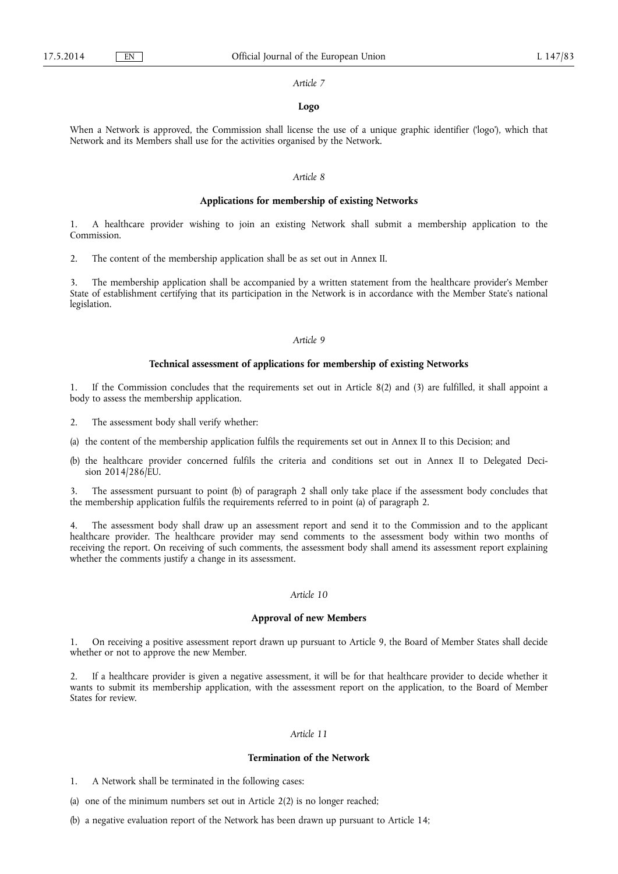#### *Article 7*

### **Logo**

When a Network is approved, the Commission shall license the use of a unique graphic identifier ('logo'), which that Network and its Members shall use for the activities organised by the Network.

### *Article 8*

### **Applications for membership of existing Networks**

1. A healthcare provider wishing to join an existing Network shall submit a membership application to the Commission.

2. The content of the membership application shall be as set out in Annex II.

3. The membership application shall be accompanied by a written statement from the healthcare provider's Member State of establishment certifying that its participation in the Network is in accordance with the Member State's national legislation.

#### *Article 9*

#### **Technical assessment of applications for membership of existing Networks**

If the Commission concludes that the requirements set out in Article 8(2) and (3) are fulfilled, it shall appoint a body to assess the membership application.

- 2. The assessment body shall verify whether:
- (a) the content of the membership application fulfils the requirements set out in Annex II to this Decision; and
- (b) the healthcare provider concerned fulfils the criteria and conditions set out in Annex II to Delegated Decision 2014/286/EU.

3. The assessment pursuant to point (b) of paragraph 2 shall only take place if the assessment body concludes that the membership application fulfils the requirements referred to in point (a) of paragraph 2.

4. The assessment body shall draw up an assessment report and send it to the Commission and to the applicant healthcare provider. The healthcare provider may send comments to the assessment body within two months of receiving the report. On receiving of such comments, the assessment body shall amend its assessment report explaining whether the comments justify a change in its assessment.

### *Article 10*

## **Approval of new Members**

1. On receiving a positive assessment report drawn up pursuant to Article 9, the Board of Member States shall decide whether or not to approve the new Member.

2. If a healthcare provider is given a negative assessment, it will be for that healthcare provider to decide whether it wants to submit its membership application, with the assessment report on the application, to the Board of Member States for review.

## *Article 11*

## **Termination of the Network**

1. A Network shall be terminated in the following cases:

(a) one of the minimum numbers set out in Article 2(2) is no longer reached;

(b) a negative evaluation report of the Network has been drawn up pursuant to Article 14;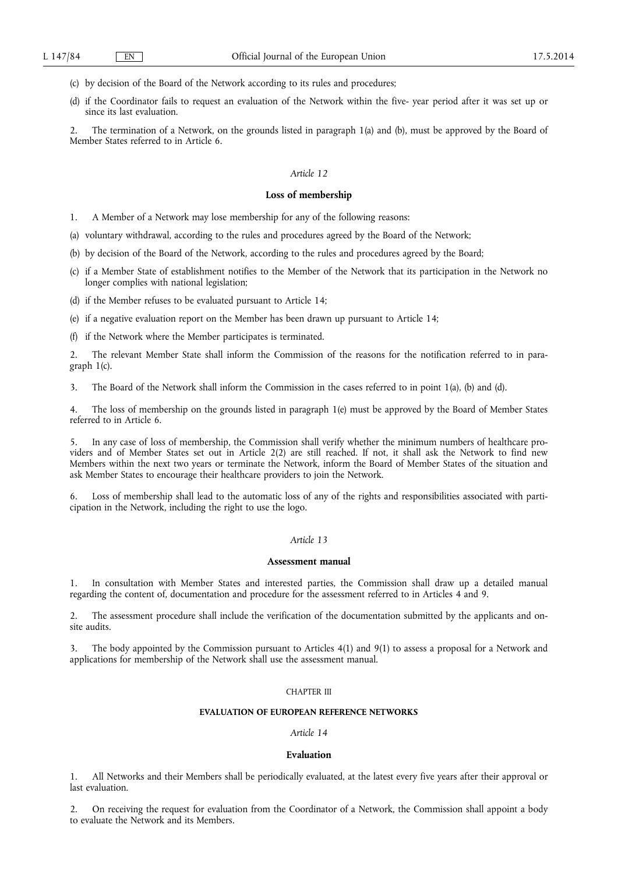(c) by decision of the Board of the Network according to its rules and procedures;

(d) if the Coordinator fails to request an evaluation of the Network within the five- year period after it was set up or since its last evaluation.

2. The termination of a Network, on the grounds listed in paragraph 1(a) and (b), must be approved by the Board of Member States referred to in Article 6.

### *Article 12*

### **Loss of membership**

- 1. A Member of a Network may lose membership for any of the following reasons:
- (a) voluntary withdrawal, according to the rules and procedures agreed by the Board of the Network;
- (b) by decision of the Board of the Network, according to the rules and procedures agreed by the Board;
- (c) if a Member State of establishment notifies to the Member of the Network that its participation in the Network no longer complies with national legislation;
- (d) if the Member refuses to be evaluated pursuant to Article 14;
- (e) if a negative evaluation report on the Member has been drawn up pursuant to Article 14;
- (f) if the Network where the Member participates is terminated.

2. The relevant Member State shall inform the Commission of the reasons for the notification referred to in paragraph 1(c).

3. The Board of the Network shall inform the Commission in the cases referred to in point 1(a), (b) and (d).

4. The loss of membership on the grounds listed in paragraph 1(e) must be approved by the Board of Member States referred to in Article 6.

5. In any case of loss of membership, the Commission shall verify whether the minimum numbers of healthcare providers and of Member States set out in Article 2(2) are still reached. If not, it shall ask the Network to find new Members within the next two years or terminate the Network, inform the Board of Member States of the situation and ask Member States to encourage their healthcare providers to join the Network.

6. Loss of membership shall lead to the automatic loss of any of the rights and responsibilities associated with participation in the Network, including the right to use the logo.

## *Article 13*

### **Assessment manual**

1. In consultation with Member States and interested parties, the Commission shall draw up a detailed manual regarding the content of, documentation and procedure for the assessment referred to in Articles 4 and 9.

2. The assessment procedure shall include the verification of the documentation submitted by the applicants and onsite audits.

The body appointed by the Commission pursuant to Articles 4(1) and 9(1) to assess a proposal for a Network and applications for membership of the Network shall use the assessment manual.

### CHAPTER III

## **EVALUATION OF EUROPEAN REFERENCE NETWORKS**

## *Article 14*

# **Evaluation**

1. All Networks and their Members shall be periodically evaluated, at the latest every five years after their approval or last evaluation.

2. On receiving the request for evaluation from the Coordinator of a Network, the Commission shall appoint a body to evaluate the Network and its Members.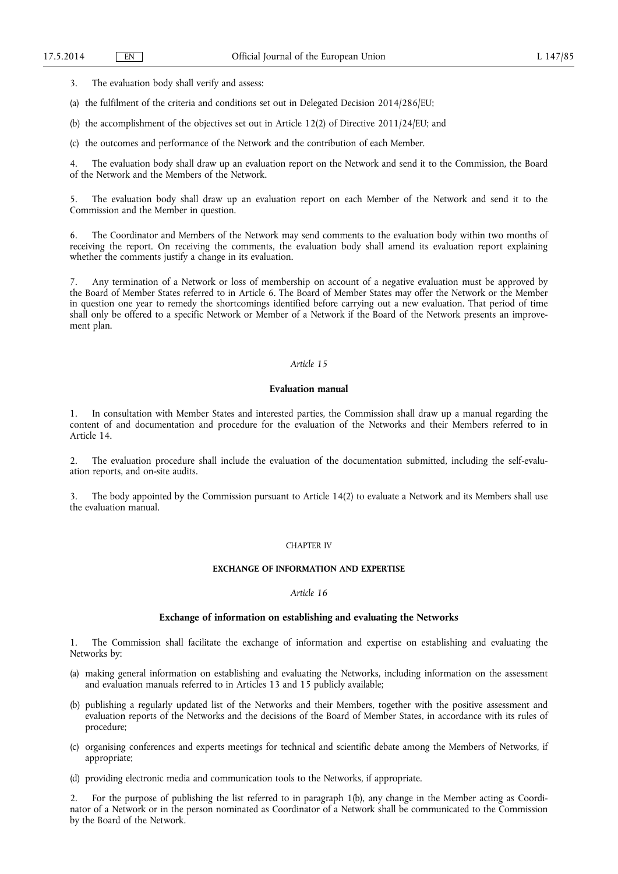3. The evaluation body shall verify and assess:

(a) the fulfilment of the criteria and conditions set out in Delegated Decision 2014/286/EU;

(b) the accomplishment of the objectives set out in Article 12(2) of Directive 2011/24/EU; and

(c) the outcomes and performance of the Network and the contribution of each Member.

4. The evaluation body shall draw up an evaluation report on the Network and send it to the Commission, the Board of the Network and the Members of the Network.

5. The evaluation body shall draw up an evaluation report on each Member of the Network and send it to the Commission and the Member in question.

6. The Coordinator and Members of the Network may send comments to the evaluation body within two months of receiving the report. On receiving the comments, the evaluation body shall amend its evaluation report explaining whether the comments justify a change in its evaluation.

7. Any termination of a Network or loss of membership on account of a negative evaluation must be approved by the Board of Member States referred to in Article 6. The Board of Member States may offer the Network or the Member in question one year to remedy the shortcomings identified before carrying out a new evaluation. That period of time shall only be offered to a specific Network or Member of a Network if the Board of the Network presents an improvement plan.

### *Article 15*

### **Evaluation manual**

1. In consultation with Member States and interested parties, the Commission shall draw up a manual regarding the content of and documentation and procedure for the evaluation of the Networks and their Members referred to in Article 14.

2. The evaluation procedure shall include the evaluation of the documentation submitted, including the self-evaluation reports, and on-site audits.

3. The body appointed by the Commission pursuant to Article 14(2) to evaluate a Network and its Members shall use the evaluation manual.

#### CHAPTER IV

### **EXCHANGE OF INFORMATION AND EXPERTISE**

### *Article 16*

## **Exchange of information on establishing and evaluating the Networks**

1. The Commission shall facilitate the exchange of information and expertise on establishing and evaluating the Networks by:

- (a) making general information on establishing and evaluating the Networks, including information on the assessment and evaluation manuals referred to in Articles 13 and 15 publicly available;
- (b) publishing a regularly updated list of the Networks and their Members, together with the positive assessment and evaluation reports of the Networks and the decisions of the Board of Member States, in accordance with its rules of procedure;
- (c) organising conferences and experts meetings for technical and scientific debate among the Members of Networks, if appropriate;
- (d) providing electronic media and communication tools to the Networks, if appropriate.

2. For the purpose of publishing the list referred to in paragraph 1(b), any change in the Member acting as Coordinator of a Network or in the person nominated as Coordinator of a Network shall be communicated to the Commission by the Board of the Network.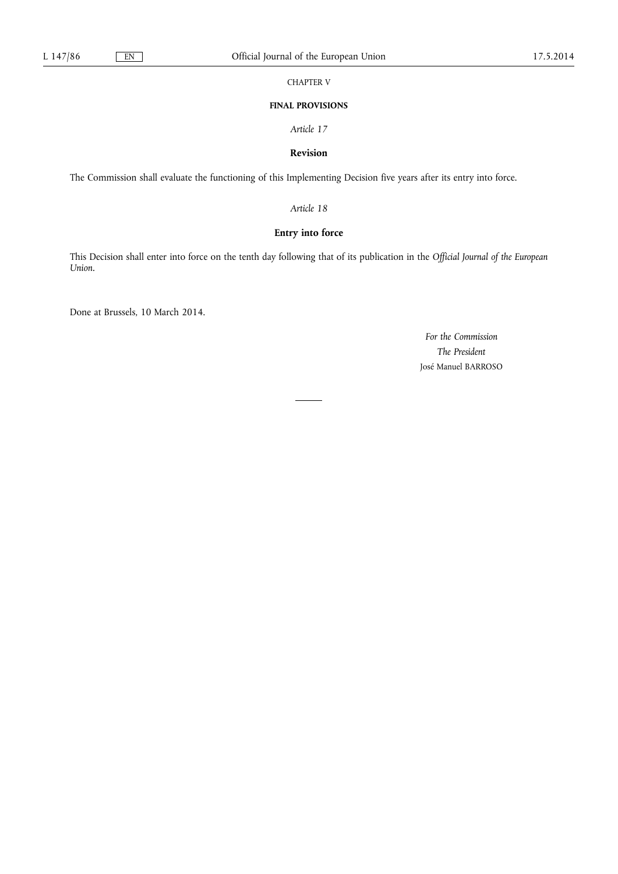CHAPTER V

## **FINAL PROVISIONS**

*Article 17* 

# **Revision**

The Commission shall evaluate the functioning of this Implementing Decision five years after its entry into force.

*Article 18* 

# **Entry into force**

This Decision shall enter into force on the tenth day following that of its publication in the *Official Journal of the European Union.* 

Done at Brussels, 10 March 2014.

*For the Commission The President*  José Manuel BARROSO